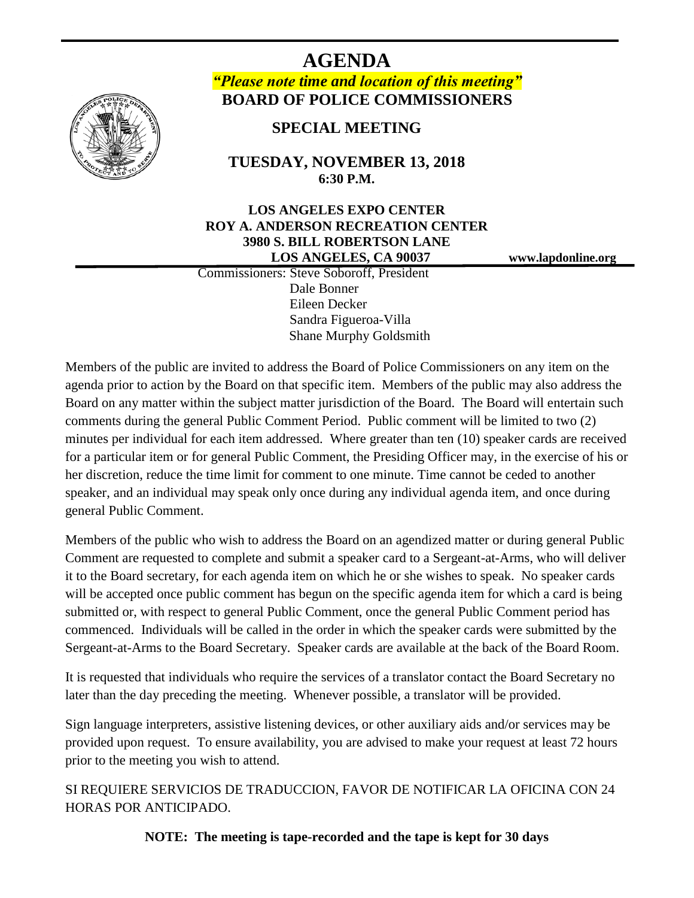

# **AGENDA** *"Please note time and location of this meeting"* **BOARD OF POLICE COMMISSIONERS**

# **SPECIAL MEETING**

# **TUESDAY, NOVEMBER 13, 2018 6:30 P.M.**

## **LOS ANGELES EXPO CENTER ROY A. ANDERSON RECREATION CENTER 3980 S. BILL ROBERTSON LANE LOS ANGELES, CA 90037 www.lapdonline.org**

 Commissioners: Steve Soboroff, President Dale Bonner Eileen Decker Sandra Figueroa-Villa Shane Murphy Goldsmith

Members of the public are invited to address the Board of Police Commissioners on any item on the agenda prior to action by the Board on that specific item. Members of the public may also address the Board on any matter within the subject matter jurisdiction of the Board. The Board will entertain such comments during the general Public Comment Period. Public comment will be limited to two (2) minutes per individual for each item addressed. Where greater than ten (10) speaker cards are received for a particular item or for general Public Comment, the Presiding Officer may, in the exercise of his or her discretion, reduce the time limit for comment to one minute. Time cannot be ceded to another speaker, and an individual may speak only once during any individual agenda item, and once during general Public Comment.

Members of the public who wish to address the Board on an agendized matter or during general Public Comment are requested to complete and submit a speaker card to a Sergeant-at-Arms, who will deliver it to the Board secretary, for each agenda item on which he or she wishes to speak. No speaker cards will be accepted once public comment has begun on the specific agenda item for which a card is being submitted or, with respect to general Public Comment, once the general Public Comment period has commenced. Individuals will be called in the order in which the speaker cards were submitted by the Sergeant-at-Arms to the Board Secretary. Speaker cards are available at the back of the Board Room.

It is requested that individuals who require the services of a translator contact the Board Secretary no later than the day preceding the meeting. Whenever possible, a translator will be provided.

Sign language interpreters, assistive listening devices, or other auxiliary aids and/or services may be provided upon request. To ensure availability, you are advised to make your request at least 72 hours prior to the meeting you wish to attend.

SI REQUIERE SERVICIOS DE TRADUCCION, FAVOR DE NOTIFICAR LA OFICINA CON 24 HORAS POR ANTICIPADO.

**NOTE: The meeting is tape-recorded and the tape is kept for 30 days**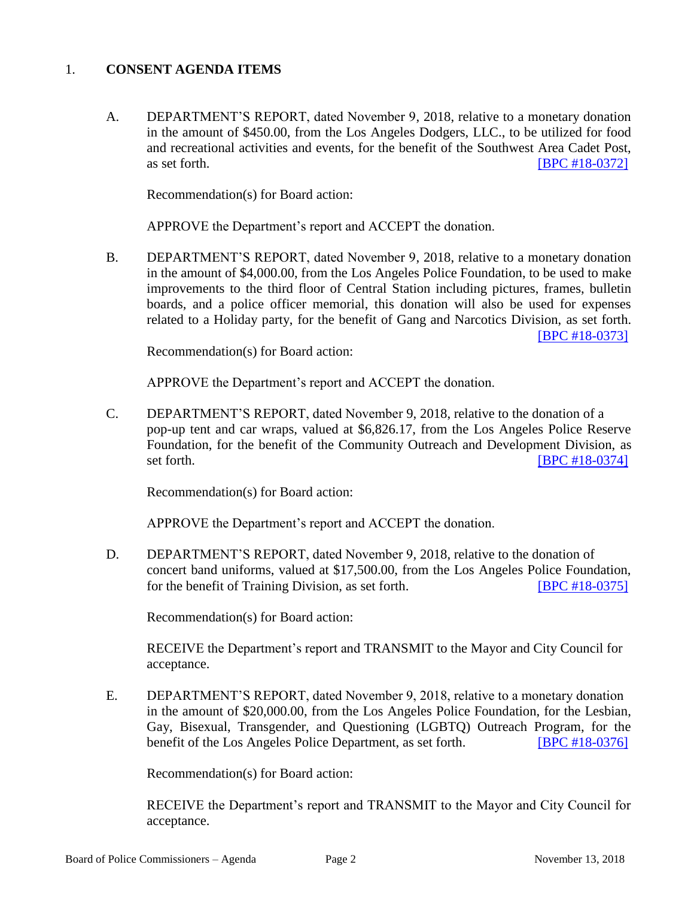# 1. **CONSENT AGENDA ITEMS**

A. DEPARTMENT'S REPORT, dated November 9, 2018, relative to a monetary donation in the amount of \$450.00, from the Los Angeles Dodgers, LLC., to be utilized for food and recreational activities and events, for the benefit of the Southwest Area Cadet Post, as set forth. **IBPC #18-0372** 

Recommendation(s) for Board action:

APPROVE the Department's report and ACCEPT the donation.

B. DEPARTMENT'S REPORT, dated November 9, 2018, relative to a monetary donation in the amount of \$4,000.00, from the Los Angeles Police Foundation, to be used to make improvements to the third floor of Central Station including pictures, frames, bulletin boards, and a police officer memorial, this donation will also be used for expenses related to a Holiday party, for the benefit of Gang and Narcotics Division, as set forth. [\[BPC #18-0373\]](http://www.lapdpolicecom.lacity.org/111318/BPC_18-0373.pdf)

Recommendation(s) for Board action:

APPROVE the Department's report and ACCEPT the donation.

C. DEPARTMENT'S REPORT, dated November 9, 2018, relative to the donation of a pop-up tent and car wraps, valued at \$6,826.17, from the Los Angeles Police Reserve Foundation, for the benefit of the Community Outreach and Development Division, as set forth.  $[BPC #18-0374]$ 

Recommendation(s) for Board action:

APPROVE the Department's report and ACCEPT the donation.

D. DEPARTMENT'S REPORT, dated November 9, 2018, relative to the donation of concert band uniforms, valued at \$17,500.00, from the Los Angeles Police Foundation, for the benefit of Training Division, as set forth. [\[BPC #18-0375\]](http://www.lapdpolicecom.lacity.org/111318/BPC_18-0375.pdf)

Recommendation(s) for Board action:

RECEIVE the Department's report and TRANSMIT to the Mayor and City Council for acceptance.

E. DEPARTMENT'S REPORT, dated November 9, 2018, relative to a monetary donation in the amount of \$20,000.00, from the Los Angeles Police Foundation, for the Lesbian, Gay, Bisexual, Transgender, and Questioning (LGBTQ) Outreach Program, for the benefit of the Los Angeles Police Department, as set forth. [\[BPC #18-0376\]](http://www.lapdpolicecom.lacity.org/111318/BPC_18-0376.pdf)

Recommendation(s) for Board action:

RECEIVE the Department's report and TRANSMIT to the Mayor and City Council for acceptance.